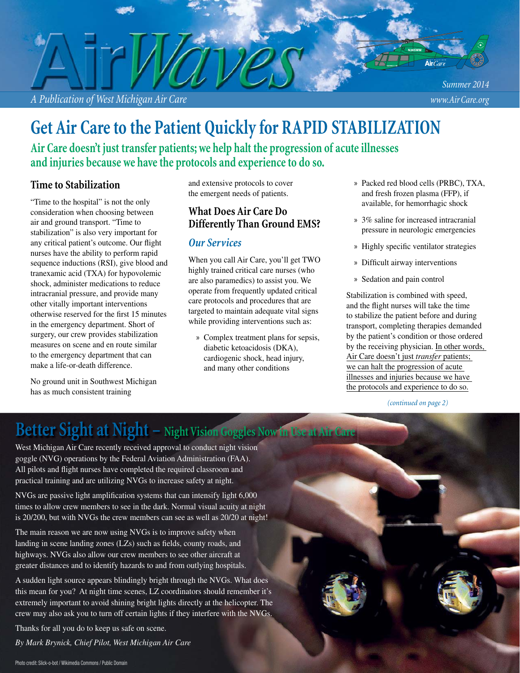

**Get Air Care to the Patient Quickly for RAPID STABILIZATION**

**Air Care doesn't just transfer patients; we help halt the progression of acute illnesses and injuries because we have the protocols and experience to do so.**

### **Time to Stabilization**

"Time to the hospital" is not the only consideration when choosing between air and ground transport. "Time to stabilization" is also very important for any critical patient's outcome. Our flight nurses have the ability to perform rapid sequence inductions (RSI), give blood and tranexamic acid (TXA) for hypovolemic shock, administer medications to reduce intracranial pressure, and provide many other vitally important interventions otherwise reserved for the first 15 minutes in the emergency department. Short of surgery, our crew provides stabilization measures on scene and en route similar to the emergency department that can make a life-or-death difference.

No ground unit in Southwest Michigan has as much consistent training

and extensive protocols to cover the emergent needs of patients.

### **What Does Air Care Do Differently Than Ground EMS?**

#### *Our Services*

When you call Air Care, you'll get TWO highly trained critical care nurses (who are also paramedics) to assist you. We operate from frequently updated critical care protocols and procedures that are targeted to maintain adequate vital signs while providing interventions such as:

» Complex treatment plans for sepsis, diabetic ketoacidosis (DKA), cardiogenic shock, head injury, and many other conditions

- » Packed red blood cells (PRBC), TXA, and fresh frozen plasma (FFP), if available, for hemorrhagic shock
- » 3% saline for increased intracranial pressure in neurologic emergencies
- » Highly specific ventilator strategies
- » Difficult airway interventions
- » Sedation and pain control

Stabilization is combined with speed, and the flight nurses will take the time to stabilize the patient before and during transport, completing therapies demanded by the patient's condition or those ordered by the receiving physician. In other words, Air Care doesn't just *transfer* patients; we can halt the progression of acute illnesses and injuries because we have the protocols and experience to do so.

#### *(continued on page 2)*

## **Better Sight at Night – Night Vision Goggles Now in Use at Air Care**

West Michigan Air Care recently received approval to conduct night vision goggle (NVG) operations by the Federal Aviation Administration (FAA). All pilots and flight nurses have completed the required classroom and practical training and are utilizing NVGs to increase safety at night.

NVGs are passive light amplification systems that can intensify light 6,000 times to allow crew members to see in the dark. Normal visual acuity at night is 20/200, but with NVGs the crew members can see as well as 20/20 at night!

The main reason we are now using NVGs is to improve safety when landing in scene landing zones (LZs) such as fields, county roads, and highways. NVGs also allow our crew members to see other aircraft at greater distances and to identify hazards to and from outlying hospitals.

A sudden light source appears blindingly bright through the NVGs. What does this mean for you? At night time scenes, LZ coordinators should remember it's extremely important to avoid shining bright lights directly at the helicopter. The crew may also ask you to turn off certain lights if they interfere with the NVGs.

Thanks for all you do to keep us safe on scene.

*By Mark Brynick, Chief Pilot, West Michigan Air Care*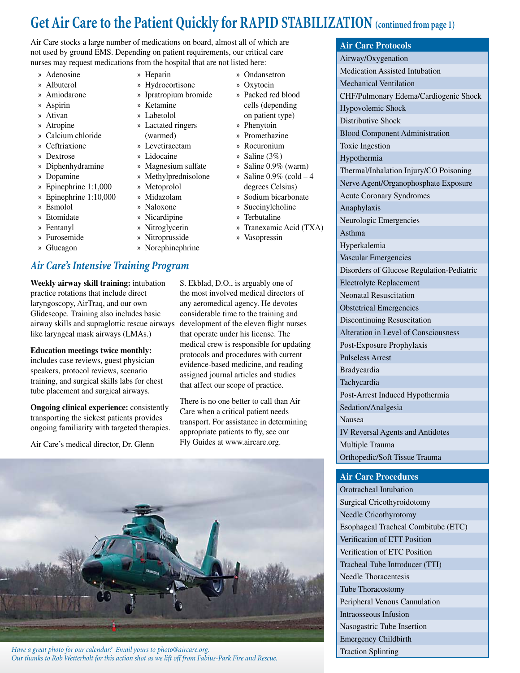## **Get Air Care to the Patient Quickly for RAPID STABILIZATION (continued from page 1)**

» Ondansetron » Oxytocin » Packed red blood cells (depending on patient type) » Phenytoin » Promethazine » Rocuronium » Saline (3%) » Saline 0.9% (warm)  $\delta$  Saline 0.9% (cold  $-4$ ) degrees Celsius) » Sodium bicarbonate » Succinylcholine

Air Care stocks a large number of medications on board, almost all of which are not used by ground EMS. Depending on patient requirements, our critical care nurses may request medications from the hospital that are not listed here:

- » Adenosine
- » Albuterol
- » Amiodarone
- » Aspirin
- » Ativan
- » Atropine
- » Calcium chloride » Ceftriaxione
- » Dextrose
- » Diphenhydramine
- » Dopamine
- » Epinephrine 1:1,000
- » Epinephrine 1:10,000
- » Esmolol
- » Etomidate
- » Fentanyl
- » Furosemide
- » Glucagon

## *Air Care's Intensive Training Program*

**Weekly airway skill training:** intubation practice rotations that include direct laryngoscopy, AirTraq, and our own Glidescope. Training also includes basic airway skills and supraglottic rescue airways like laryngeal mask airways (LMAs.)

**Education meetings twice monthly:** includes case reviews, guest physician speakers, protocol reviews, scenario training, and surgical skills labs for chest tube placement and surgical airways.

**Ongoing clinical experience:** consistently transporting the sickest patients provides ongoing familiarity with targeted therapies.

Air Care's medical director, Dr. Glenn

- » Heparin » Hydrocortisone
- » Ipratropium bromide
- » Ketamine
- » Labetolol
	- » Lactated ringers
- (warmed)
	- » Levetiracetam
- » Lidocaine
- » Magnesium sulfate
- » Methylprednisolone
- » Metoprolol
- » Midazolam
- » Naloxone
- 
- » Nitroglycerin
- » Nitroprusside
- 
- » Nicardipine
- 
- 
- » Norephinephrine
- » Terbutaline » Tranexamic Acid (TXA) » Vasopressin

S. Ekblad, D.O., is arguably one of the most involved medical directors of any aeromedical agency. He devotes considerable time to the training and development of the eleven flight nurses that operate under his license. The medical crew is responsible for updating protocols and procedures with current evidence-based medicine, and reading assigned journal articles and studies that affect our scope of practice.

There is no one better to call than Air Care when a critical patient needs transport. For assistance in determining appropriate patients to fly, see our Fly Guides at www.aircare.org.



*Have a great photo for our calendar? Email yours to photo@aircare.org. Our thanks to Rob Wetterholt for this action shot as we lift off from Fabius-Park Fire and Rescue.* 

#### **Air Care Protocols**

Airway/Oxygenation Medication Assisted Intubation Mechanical Ventilation CHF/Pulmonary Edema/Cardiogenic Shock Hypovolemic Shock Distributive Shock Blood Component Administration Toxic Ingestion Hypothermia Thermal/Inhalation Injury/CO Poisoning Nerve Agent/Organophosphate Exposure Acute Coronary Syndromes Anaphylaxis Neurologic Emergencies Asthma Hyperkalemia Vascular Emergencies Disorders of Glucose Regulation-Pediatric Electrolyte Replacement Neonatal Resuscitation Obstetrical Emergencies Discontinuing Resuscitation Alteration in Level of Consciousness Post-Exposure Prophylaxis Pulseless Arrest Bradycardia Tachycardia Post-Arrest Induced Hypothermia Sedation/Analgesia Nausea IV Reversal Agents and Antidotes Multiple Trauma Orthopedic/Soft Tissue Trauma

#### **Air Care Procedures**

Orotracheal Intubation Surgical Cricothyroidotomy Needle Cricothyrotomy Esophageal Tracheal Combitube (ETC) Verification of ETT Position Verification of ETC Position Tracheal Tube Introducer (TTI) Needle Thoracentesis Tube Thoracostomy Peripheral Venous Cannulation Intraosseous Infusion Nasogastric Tube Insertion Emergency Childbirth Traction Splinting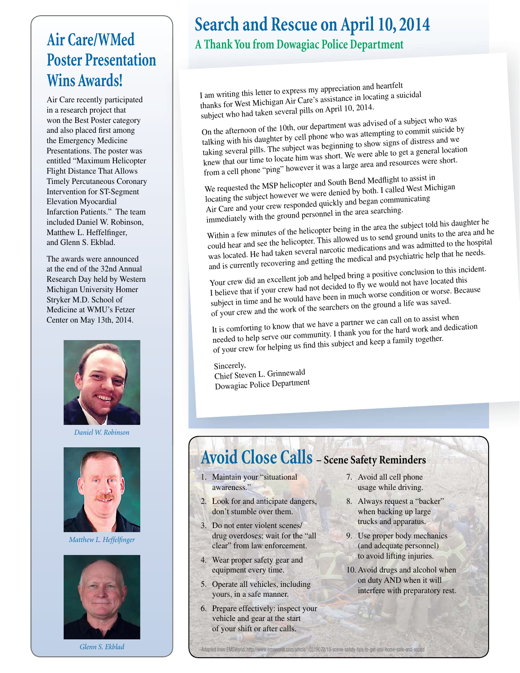# **Air Care/WMed Poster Presentation Wins Awards!**

Air Care recently participated in a research project that won the Best Poster category and also placed first among the Emergency Medicine Presentations. The poster was entitled "Maximum Helicopter Flight Distance That Allows Timely Percutaneous Coronary Intervention for ST-Segment Elevation Myocardial Infarction Patients." The team included Daniel W. Robinson, Matthew L. Heffelfinger, and Glenn S. Ekblad.

The awards were announced at the end of the 32nd Annual Research Day held by Western Michigan University Homer Stryker M.D. School of Medicine at WMU's Fetzer Center on May 13th, 2014.



*Daniel W. Robinson*



*Matthew L. Heffelfinger* 



# **Search and Rescue on April 10, 2014**

## **A Thank You from Dowagiac Police Department**

I am writing this letter to express my appreciation and heartfelt thanks for West Michigan Air Care's assistance in locating a suicidal subject who had taken several pills on April 10, 2014.

On the afternoon of the 10th, our department was advised of a subject who was talking with his daughter by cell phone who was attempting to commit suicide by taking several pills. The subject was beginning to show signs of distress and we knew that our time to locate him was short. We were able to get a general location from a cell phone "ping" however it was a large area and resources were short.

We requested the MSP helicopter and South Bend Medflight to assist in locating the subject however we were denied by both. I called West Michigan Air Care and your crew responded quickly and began communicating immediately with the ground personnel in the area searching.

Within a few minutes of the helicopter being in the area the subject told his daughter he could hear and see the helicopter. This allowed us to send ground units to the area and he was located. He had taken several narcotic medications and was admitted to the hospital and is currently recovering and getting the medical and psychiatric help that he needs.

Your crew did an excellent job and helped bring a positive conclusion to this incident. I believe that if your crew had not decided to fly we would not have located this subject in time and he would have been in much worse condition or worse. Because of your crew and the work of the searchers on the ground a life was saved.

It is comforting to know that we have a partner we can call on to assist when needed to help serve our community. I thank you for the hard work and dedication of your crew for helping us find this subject and keep a family together.

Sincerely, Chief Steven L. Grinnewald Dowagiac Police Department

# **Avoid Close Calls – Scene Safety Reminders**

- 1. Maintain your "situational awareness."
- 2. Look for and anticipate dangers, don't stumble over them.
- 3. Do not enter violent scenes/ drug overdoses; wait for the "all clear" from law enforcement.
- 4. Wear proper safety gear and equipment every time.
- 5. Operate all vehicles, including yours, in a safe manner.
- 6. Prepare effectively: inspect your vehicle and gear at the start of your shift or after calls.
- 7. Avoid all cell phone usage while driving.
- 8. Always request a "backer" when backing up large trucks and apparatus.
- 9. Use proper body mechanics (and adequate personnel) to avoid lifting injuries.
- 10. Avoid drugs and alcohol when on duty AND when it will interfere with preparatory rest.

**Glenn S. Ekblad** – **Adapted from EMSWorld: http://www.emsworld.com/article/10319072/10-scene-safety-tips-to-get-you-home-safe-and-sound-**